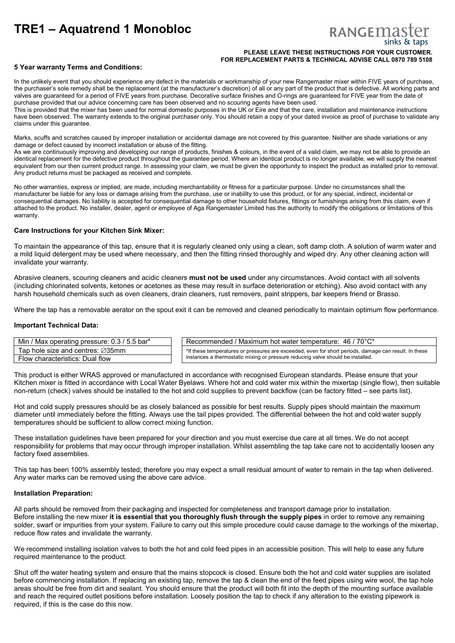# **TRE1 – Aquatrend 1 Monobloc**

# **RANGEMAS**

## **PLEASE LEAVE THESE INSTRUCTIONS FOR YOUR CUSTOMER. FOR REPLACEMENT PARTS & TECHNICAL ADVISE CALL 0870 789 5108**

# **5 Year warranty Terms and Conditions:**

In the unlikely event that you should experience any defect in the materials or workmanship of your new Rangemaster mixer within FIVE years of purchase. the purchaser's sole remedy shall be the replacement (at the manufacturer's discretion) of all or any part of the product that is defective. All working parts and valves are guaranteed for a period of FIVE years from purchase. Decorative surface finishes and O-rings are guaranteed for FIVE year from the date of purchase provided that our advice concerning care has been observed and no scouring agents have been used.

This is provided that the mixer has been used for normal domestic purposes in the UK or Eire and that the care, installation and maintenance instructions have been observed. The warranty extends to the original purchaser only. You should retain a copy of your dated invoice as proof of purchase to validate any claims under this guarantee.

Marks, scuffs and scratches caused by improper installation or accidental damage are not covered by this guarantee. Neither are shade variations or any damage or defect caused by incorrect installation or abuse of the fitting.

As we are continuously improving and developing our range of products, finishes & colours, in the event of a valid claim, we may not be able to provide an identical replacement for the defective product throughout the guarantee period. Where an identical product is no longer available, we will supply the nearest equivalent from our then current product range. In assessing your claim, we must be given the opportunity to inspect the product as installed prior to removal. Any product returns must be packaged as received and complete.

No other warranties, express or implied, are made, including merchantability or fitness for a particular purpose. Under no circumstances shall the manufacturer be liable for any loss or damage arising from the purchase, use or inability to use this product, or for any special, indirect, incidental or consequential damages. No liability is accepted for consequential damage to other household fixtures, fittings or furnishings arising from this claim, even if attached to the product. No installer, dealer, agent or employee of Aga Rangemaster Limited has the authority to modify the obligations or limitations of this warranty.

# **Care Instructions for your Kitchen Sink Mixer:**

To maintain the appearance of this tap, ensure that it is regularly cleaned only using a clean, soft damp cloth. A solution of warm water and a mild liquid detergent may be used where necessary, and then the fitting rinsed thoroughly and wiped dry. Any other cleaning action will invalidate your warranty.

Abrasive cleaners, scouring cleaners and acidic cleaners **must not be used** under any circumstances. Avoid contact with all solvents (including chlorinated solvents, ketones or acetones as these may result in surface deterioration or etching). Also avoid contact with any harsh household chemicals such as oven cleaners, drain cleaners, rust removers, paint strippers, bar keepers friend or Brasso.

Where the tap has a removable aerator on the spout exit it can be removed and cleaned periodically to maintain optimum flow performance.

# **Important Technical Data:**

| Min / Max operating pressure: 0.3 / 5.5 bar*  | Recommended / Maximum hot water temperature: $46 / 70^{\circ}$ C*                                     |
|-----------------------------------------------|-------------------------------------------------------------------------------------------------------|
| Tap hole size and centres: $\varnothing$ 35mm | *If these temperatures or pressures are exceeded, even for short periods, damage can result. In these |
| Flow characteristics: Dual flow               | instances a thermostatic mixing or pressure reducing valve should be installed.                       |

This product is either WRAS approved or manufactured in accordance with recognised European standards. Please ensure that your Kitchen mixer is fitted in accordance with Local Water Byelaws. Where hot and cold water mix within the mixertap (single flow), then suitable non-return (check) valves should be installed to the hot and cold supplies to prevent backflow (can be factory fitted – see parts list).

Hot and cold supply pressures should be as closely balanced as possible for best results. Supply pipes should maintain the maximum diameter until immediately before the fitting. Always use the tail pipes provided. The differential between the hot and cold water supply temperatures should be sufficient to allow correct mixing function.

These installation guidelines have been prepared for your direction and you must exercise due care at all times. We do not accept responsibility for problems that may occur through improper installation. Whilst assembling the tap take care not to accidentally loosen any factory fixed assemblies.

This tap has been 100% assembly tested; therefore you may expect a small residual amount of water to remain in the tap when delivered. Any water marks can be removed using the above care advice.

#### **Installation Preparation:**

All parts should be removed from their packaging and inspected for completeness and transport damage prior to installation. Before installing the new mixer **it is essential that you thoroughly flush through the supply pipes** in order to remove any remaining solder, swarf or impurities from your system. Failure to carry out this simple procedure could cause damage to the workings of the mixertap, reduce flow rates and invalidate the warranty.

We recommend installing isolation valves to both the hot and cold feed pipes in an accessible position. This will help to ease any future required maintenance to the product.

Shut off the water heating system and ensure that the mains stopcock is closed. Ensure both the hot and cold water supplies are isolated before commencing installation. If replacing an existing tap, remove the tap & clean the end of the feed pipes using wire wool, the tap hole areas should be free from dirt and sealant. You should ensure that the product will both fit into the depth of the mounting surface available and reach the required outlet positions before installation. Loosely position the tap to check if any alteration to the existing pipework is required, if this is the case do this now.